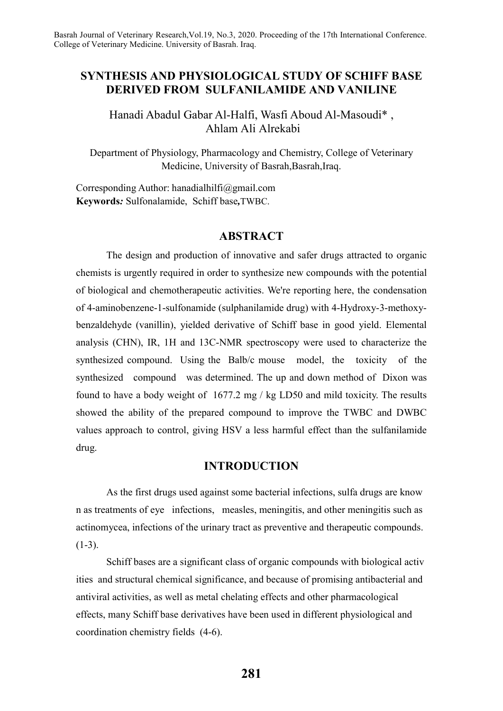# **SYNTHESIS AND PHYSIOLOGICAL STUDY OF SCHIFF BASE DERIVED FROM SULFANILAMIDE AND VANILINE**

Hanadi Abadul Gabar Al-Halfi, Wasfi Aboud Al-Masoudi\* , Ahlam Ali Alrekabi

Department of Physiology, Pharmacology and Chemistry, College of Veterinary Medicine, University of Basrah, Basrah, Iraq.

Corresponding Author: hanadialhilfi@gmail.com **Keywords***:* Sulfonalamide, Schiff base*,*TWBC.

## **ABSTRACT**

The design and production of innovative and safer drugs attracted to organic chemists is urgently required in order to synthesize new compounds with the potential of biological and chemotherapeutic activities. We're reporting here, the condensation of 4-aminobenzene-1-sulfonamide (sulphanilamide drug) with 4-Hydroxy-3-methoxybenzaldehyde (vanillin), yielded derivative of Schiff base in good yield. Elemental analysis (CHN), IR, 1H and 13C-NMR spectroscopy were used to characterize the synthesized compound. Using the Balb/c mouse model, the toxicity of the synthesized compound was determined. The up and down method of Dixon was found to have a body weight of 1677.2 mg / kg LD50 and mild toxicity. The results showed the ability of the prepared compound to improve the TWBC and DWBC values approach to control, giving HSV a less harmful effect than the sulfanilamide drug.

## **INTRODUCTION**

As the first drugs used against some bacterial infections, sulfa drugs are know n as treatments of eye infections, measles, meningitis, and other meningitis such as actinomycea, infections of the urinary tract as preventive and therapeutic compounds.  $(1-3)$ .

Schiff bases are a significant class of organic compounds with biological activ ities and structural chemical significance, and because of promising antibacterial and antiviral activities, as well as metal chelating effects and other pharmacological effects, many Schiff base derivatives have been used in different physiological and coordination chemistry fields (4-6).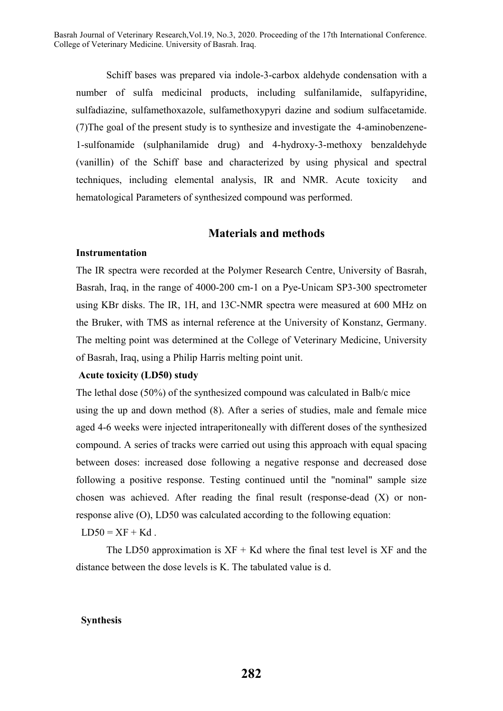Schiff bases was prepared via indole-3-carbox aldehyde condensation with a number of sulfa medicinal products, including sulfanilamide, sulfapyridine, sulfadiazine, sulfamethoxazole, sulfamethoxypyri dazine and sodium sulfacetamide. (7)The goal of the present study is to synthesize and investigate the 4-aminobenzene-1-sulfonamide (sulphanilamide drug) and 4-hydroxy-3-methoxy benzaldehyde (vanillin) of the Schiff base and characterized by using physical and spectral techniques, including elemental analysis, IR and NMR. Acute toxicity and hematological Parameters of synthesized compound was performed.

## **Materials and methods**

### **Instrumentation**

The IR spectra were recorded at the Polymer Research Centre, University of Basrah, Basrah, Iraq, in the range of 4000-200 cm-1 on a Pye-Unicam SP3-300 spectrometer using KBr disks. The IR, 1H, and 13C-NMR spectra were measured at 600 MHz on the Bruker, with TMS as internal reference at the University of Konstanz, Germany. The melting point was determined at the College of Veterinary Medicine, University of Basrah, Iraq, using a Philip Harris melting point unit.

### **Acute toxicity (LD50) study**

The lethal dose (50%) of the synthesized compound was calculated in Balb/c mice using the up and down method (8). After a series of studies, male and female mice aged 4-6 weeks were injected intraperitoneally with different doses of the synthesized compound. A series of tracks were carried out using this approach with equal spacing between doses: increased dose following a negative response and decreased dose following a positive response. Testing continued until the "nominal" sample size chosen was achieved. After reading the final result (response-dead (X) or nonresponse alive (O), LD50 was calculated according to the following equation:

 $LD50 = XF + Kd$ .

The LD50 approximation is  $XF + Kd$  where the final test level is  $XF$  and the distance between the dose levels is K. The tabulated value is d.

### **Synthesis**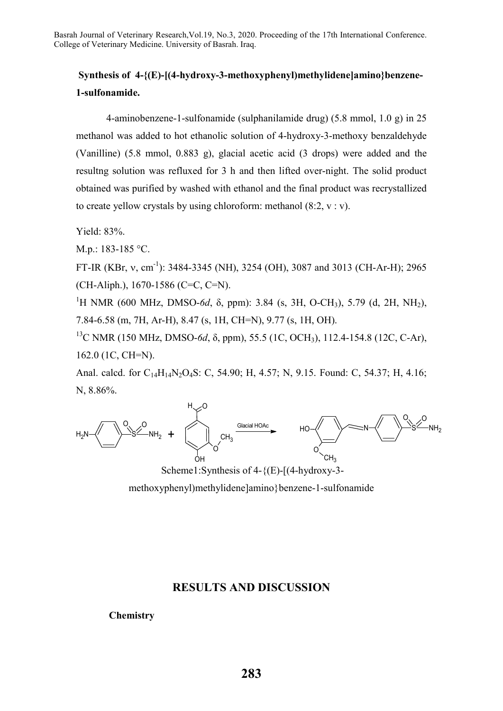# **Synthesis of 4-{(E)-[(4-hydroxy-3-methoxyphenyl)methylidene]amino}benzene-1-sulfonamide.**

4-aminobenzene-1-sulfonamide (sulphanilamide drug) (5.8 mmol, 1.0 g) in 25 methanol was added to hot ethanolic solution of 4-hydroxy-3-methoxy benzaldehyde (Vanilline) (5.8 mmol, 0.883 g), glacial acetic acid (3 drops) were added and the resultng solution was refluxed for 3 h and then lifted over-night. The solid product obtained was purified by washed with ethanol and the final product was recrystallized to create yellow crystals by using chloroform: methanol  $(8:2, v : v)$ .

Yield: 83%.

M.p.: 183-185 °C.

FT-IR (KBr, v, cm<sup>-1</sup>): 3484-3345 (NH), 3254 (OH), 3087 and 3013 (CH-Ar-H); 2965 (CH-Aliph.), 1670-1586 (C=C, C=N).

<sup>1</sup>H NMR (600 MHz, DMSO-*6d*, δ, ppm): 3.84 (s, 3H, O-CH<sub>3</sub>), 5.79 (d, 2H, NH<sub>2</sub>), 7.84-6.58 (m, 7H, Ar-H), 8.47 (s, 1H, CH=N), 9.77 (s, 1H, OH).

13C NMR (150 MHz, DMSO-*6d*, δ, ppm), 55.5 (1C, OCH3), 112.4-154.8 (12C, C-Ar), 162.0 (1C, CH=N).

Anal. calcd. for C<sub>14</sub>H<sub>14</sub>N<sub>2</sub>O<sub>4</sub>S: C, 54.90; H, 4.57; N, 9.15. Found: C, 54.37; H, 4.16; N, 8.86%.



Scheme1:Synthesis of 4-{(E)-[(4-hydroxy-3-

methoxyphenyl)methylidene]amino}benzene-1-sulfonamide

## **RESULTS AND DISCUSSION**

**Chemistry**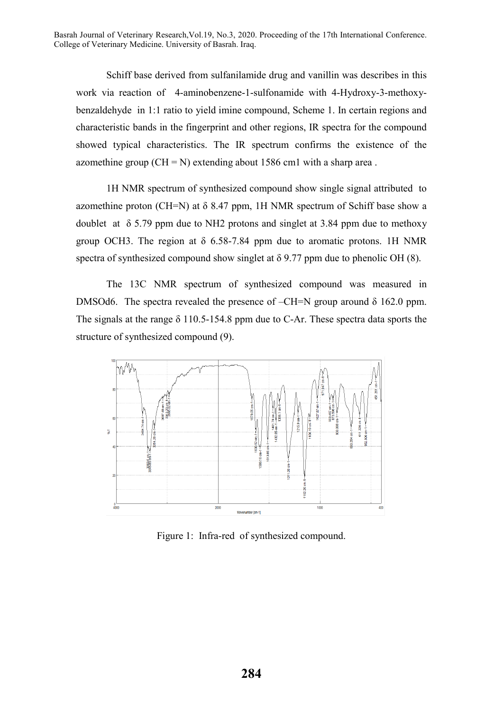Schiff base derived from sulfanilamide drug and vanillin was describes in this work via reaction of 4-aminobenzene-1-sulfonamide with 4-Hydroxy-3-methoxybenzaldehyde in 1:1 ratio to yield imine compound, Scheme 1. In certain regions and characteristic bands in the fingerprint and other regions, IR spectra for the compound showed typical characteristics. The IR spectrum confirms the existence of the azomethine group  $(CH = N)$  extending about 1586 cm1 with a sharp area.

1H NMR spectrum of synthesized compound show single signal attributed to azomethine proton (CH=N) at  $\delta$  8.47 ppm, 1H NMR spectrum of Schiff base show a doublet at  $\delta$  5.79 ppm due to NH2 protons and singlet at 3.84 ppm due to methoxy group OCH3. The region at  $\delta$  6.58-7.84 ppm due to aromatic protons. 1H NMR spectra of synthesized compound show singlet at  $\delta$  9.77 ppm due to phenolic OH (8).

The 13C NMR spectrum of synthesized compound was measured in DMSOd6. The spectra revealed the presence of  $-CH=N$  group around  $\delta$  162.0 ppm. The signals at the range δ 110.5-154.8 ppm due to C-Ar. These spectra data sports the structure of synthesized compound (9).



Figure 1: Infra-red of synthesized compound.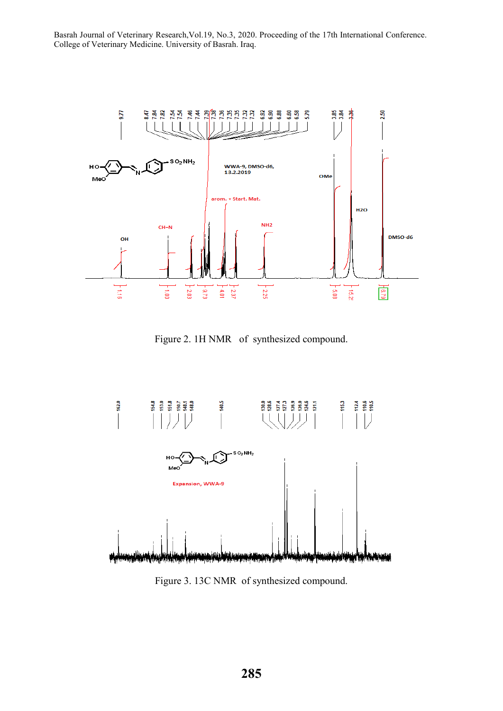

Figure 2. 1H NMR of synthesized compound.



Figure 3. 13C NMR of synthesized compound.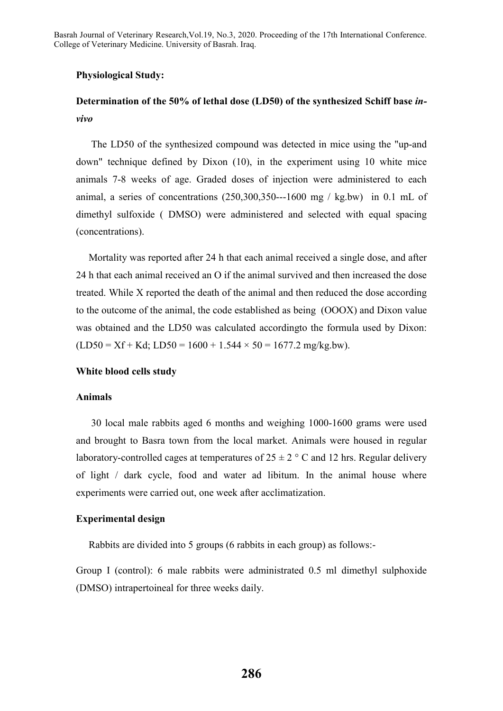### **Physiological Study:**

# **Determination of the 50% of lethal dose (LD50) of the synthesized Schiff base** *invivo*

 The LD50 of the synthesized compound was detected in mice using the "up-and down" technique defined by Dixon (10), in the experiment using 10 white mice animals 7-8 weeks of age. Graded doses of injection were administered to each animal, a series of concentrations  $(250,300,350--1600$  mg / kg.bw) in 0.1 mL of dimethyl sulfoxide ( DMSO) were administered and selected with equal spacing (concentrations).

 Mortality was reported after 24 h that each animal received a single dose, and after 24 h that each animal received an O if the animal survived and then increased the dose treated. While X reported the death of the animal and then reduced the dose according to the outcome of the animal, the code established as being (OOOX) and Dixon value was obtained and the LD50 was calculated accordingto the formula used by Dixon:  $(LD50 = Xf + Kd$ ;  $LD50 = 1600 + 1.544 \times 50 = 1677.2$  mg/kg.bw).

### **White blood cells study**

#### **Animals**

 30 local male rabbits aged 6 months and weighing 1000-1600 grams were used and brought to Basra town from the local market. Animals were housed in regular laboratory-controlled cages at temperatures of  $25 \pm 2$  ° C and 12 hrs. Regular delivery of light / dark cycle, food and water ad libitum. In the animal house where experiments were carried out, one week after acclimatization.

### **Experimental design**

Rabbits are divided into 5 groups (6 rabbits in each group) as follows:-

Group I (control): 6 male rabbits were administrated 0.5 ml dimethyl sulphoxide (DMSO) intrapertoineal for three weeks daily.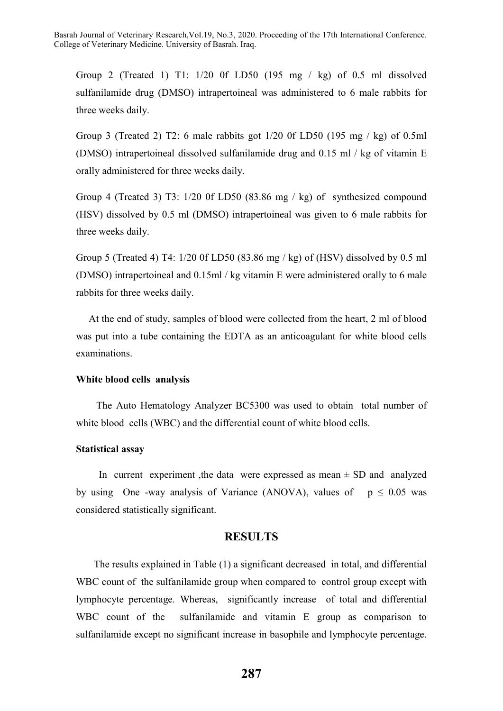Group 2 (Treated 1) T1: 1/20 0f LD50 (195 mg / kg) of 0.5 ml dissolved sulfanilamide drug (DMSO) intrapertoineal was administered to 6 male rabbits for three weeks daily.

Group 3 (Treated 2) T2: 6 male rabbits got 1/20 0f LD50 (195 mg / kg) of 0.5ml (DMSO) intrapertoineal dissolved sulfanilamide drug and 0.15 ml / kg of vitamin E orally administered for three weeks daily.

Group 4 (Treated 3) T3: 1/20 0f LD50 (83.86 mg / kg) of synthesized compound (HSV) dissolved by 0.5 ml (DMSO) intrapertoineal was given to 6 male rabbits for three weeks daily.

Group 5 (Treated 4) T4: 1/20 0f LD50 (83.86 mg / kg) of (HSV) dissolved by 0.5 ml (DMSO) intrapertoineal and 0.15ml / kg vitamin E were administered orally to 6 male rabbits for three weeks daily.

 At the end of study, samples of blood were collected from the heart, 2 ml of blood was put into a tube containing the EDTA as an anticoagulant for white blood cells examinations.

### **White blood cells analysis**

 The Auto Hematology Analyzer BC5300 was used to obtain total number of white blood cells (WBC) and the differential count of white blood cells.

### **Statistical assay**

In current experiment , the data were expressed as mean  $\pm$  SD and analyzed by using One -way analysis of Variance (ANOVA), values of  $p \le 0.05$  was considered statistically significant.

### **RESULTS**

 The results explained in Table (1) a significant decreased in total, and differential WBC count of the sulfanilamide group when compared to control group except with lymphocyte percentage. Whereas, significantly increase of total and differential WBC count of the sulfanilamide and vitamin E group as comparison to sulfanilamide except no significant increase in basophile and lymphocyte percentage.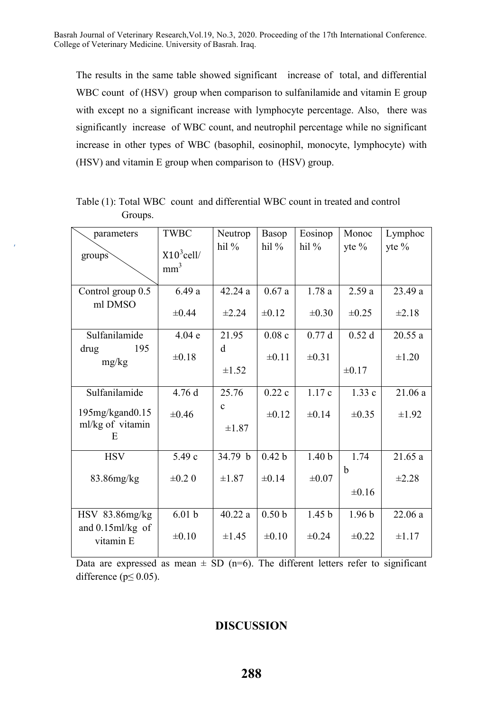The results in the same table showed significant increase of total, and differential WBC count of (HSV) group when comparison to sulfanilamide and vitamin E group with except no a significant increase with lymphocyte percentage. Also, there was significantly increase of WBC count, and neutrophil percentage while no significant increase in other types of WBC (basophil, eosinophil, monocyte, lymphocyte) with (HSV) and vitamin E group when comparison to (HSV) group.

| parameters                          | <b>TWBC</b>       | Neutrop      | Basop             | Eosinop           | Monoc             | Lymphoc    |
|-------------------------------------|-------------------|--------------|-------------------|-------------------|-------------------|------------|
| groups                              | $X10^3$ cell/     | hil $%$      | hil%              | hil $%$           | yte $%$           | yte %      |
|                                     | mm <sup>3</sup>   |              |                   |                   |                   |            |
|                                     |                   |              |                   |                   |                   |            |
| Control group 0.5                   | 6.49a             | 42.24a       | 0.67a             | 1.78a             | 2.59a             | 23.49 a    |
| ml DMSO                             | $\pm 0.44$        | $\pm 2.24$   | $\pm 0.12$        | $\pm 0.30$        | $\pm 0.25$        | $\pm 2.18$ |
| Sulfanilamide                       | 4.04e             | 21.95        | 0.08c             | 0.77d             | 0.52d             | 20.55a     |
| drug<br>195<br>mg/kg                | $\pm 0.18$        | d            | $\pm 0.11$        | $\pm 0.31$        |                   | $\pm 1.20$ |
|                                     |                   | $\pm 1.52$   |                   |                   | $\pm 0.17$        |            |
| Sulfanilamide                       | 4.76 d            | 25.76        | 0.22c             | 1.17c             | 1.33c             | 21.06a     |
|                                     |                   | $\mathbf{c}$ |                   |                   |                   |            |
| 195mg/kgand0.15<br>ml/kg of vitamin | $\pm 0.46$        |              | $\pm 0.12$        | $\pm 0.14$        | $\pm 0.35$        | $\pm 1.92$ |
| E                                   |                   | $\pm 1.87$   |                   |                   |                   |            |
|                                     |                   |              |                   |                   |                   |            |
| <b>HSV</b>                          | 5.49 c            | 34.79 b      | 0.42 <sub>b</sub> | 1.40 <sub>b</sub> | 1.74              | 21.65a     |
| 83.86mg/kg                          | $\pm 0.2$ 0       | $\pm 1.87$   | $\pm 0.14$        | $\pm 0.07$        | b                 | $\pm 2.28$ |
|                                     |                   |              |                   |                   | $\pm 0.16$        |            |
| $HSV$ 83.86 $mg/kg$                 | 6.01 <sub>b</sub> | 40.22a       | 0.50 <sub>b</sub> | 1.45 <sub>b</sub> | 1.96 <sub>b</sub> | 22.06 a    |
| and $0.15$ ml/kg of<br>vitamin E    | $\pm 0.10$        | $\pm 1.45$   | $\pm 0.10$        | $\pm 0.24$        | $\pm 0.22$        | $\pm 1.17$ |

Table (1): Total WBC count and differential WBC count in treated and control Groups.

Data are expressed as mean  $\pm$  SD (n=6). The different letters refer to significant difference ( $p \le 0.05$ ).

# **DISCUSSION**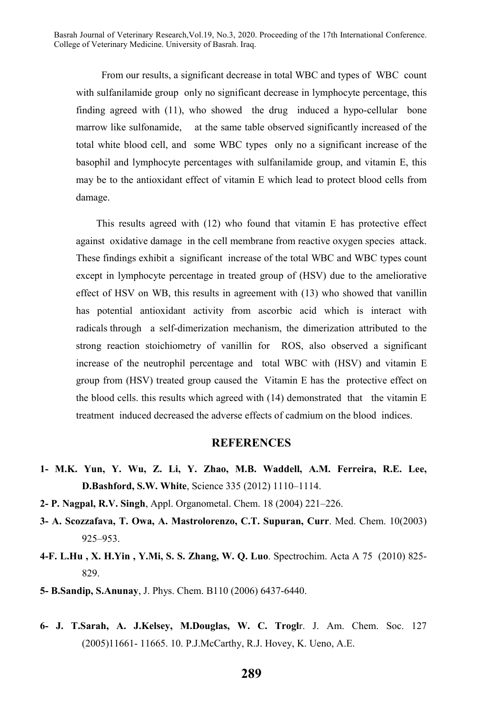From our results, a significant decrease in total WBC and types of WBC count with sulfanilamide group only no significant decrease in lymphocyte percentage, this finding agreed with (11), who showed the drug induced a hypo-cellular bone marrow like sulfonamide, at the same table observed significantly increased of the total white blood cell, and some WBC types only no a significant increase of the basophil and lymphocyte percentages with sulfanilamide group, and vitamin E, this may be to the antioxidant effect of vitamin E which lead to protect blood cells from damage.

 This results agreed with (12) who found that vitamin E has protective effect against oxidative damage in the cell membrane from reactive oxygen species attack. These findings exhibit a significant increase of the total WBC and WBC types count except in lymphocyte percentage in treated group of (HSV) due to the ameliorative effect of HSV on WB, this results in agreement with (13) who showed that vanillin has potential antioxidant activity from ascorbic acid which is interact with radicals through a self-dimerization mechanism, the dimerization attributed to the strong reaction stoichiometry of vanillin for ROS, also observed a significant increase of the neutrophil percentage and total WBC with (HSV) and vitamin E group from (HSV) treated group caused the Vitamin E has the protective effect on the blood cells. this results which agreed with (14) demonstrated that the vitamin E treatment induced decreased the adverse effects of cadmium on the blood indices.

## **REFERENCES**

- **1- M.K. Yun, Y. Wu, Z. Li, Y. Zhao, M.B. Waddell, A.M. Ferreira, R.E. Lee, D.Bashford, S.W. White**, Science 335 (2012) 1110–1114.
- **2- P. Nagpal, R.V. Singh**, Appl. Organometal. Chem. 18 (2004) 221–226.
- **3- A. Scozzafava, T. Owa, A. Mastrolorenzo, C.T. Supuran, Curr**. Med. Chem. 10(2003) 925–953.
- **4-F. L.Hu , X. H.Yin , Y.Mi, S. S. Zhang, W. Q. Luo**. Spectrochim. Acta A 75 (2010) 825- 829.
- **5- B.Sandip, S.Anunay**, J. Phys. Chem. B110 (2006) 6437-6440.
- **6- J. T.Sarah, A. J.Kelsey, M.Douglas, W. C. Trogl**r. J. Am. Chem. Soc. 127 (2005)11661- 11665. 10. P.J.McCarthy, R.J. Hovey, K. Ueno, A.E.